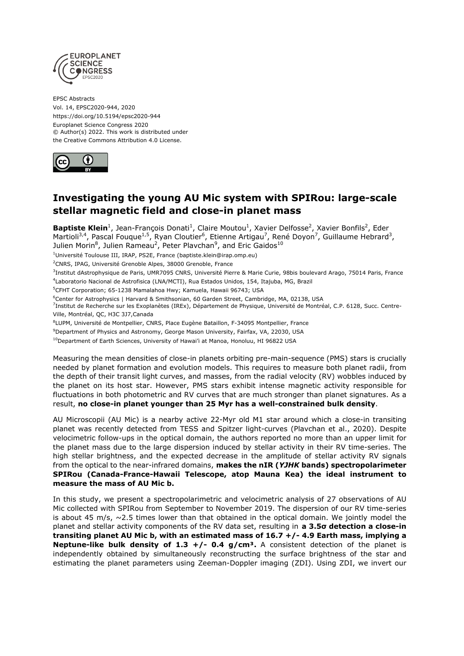

EPSC Abstracts Vol. 14, EPSC2020-944, 2020 https://doi.org/10.5194/epsc2020-944 Europlanet Science Congress 2020 © Author(s) 2022. This work is distributed under the Creative Commons Attribution 4.0 License.



## **Investigating the young AU Mic system with SPIRou: large-scale stellar magnetic field and close-in planet mass**

Baptiste Klein<sup>1</sup>, Jean-François Donati<sup>1</sup>, Claire Moutou<sup>1</sup>, Xavier Delfosse<sup>2</sup>, Xavier Bonfils<sup>2</sup>, Eder Martioli<sup>3,4</sup>, Pascal Fouque<sup>1,5</sup>, Ryan Cloutier<sup>6</sup>, Etienne Artigau<sup>7</sup>, René Doyon<sup>7</sup>, Guillaume Hebrard<sup>3</sup>, Julien Morin $^8$ , Julien Rameau<sup>2</sup>, Peter Plavchan<sup>9</sup>, and Eric Gaidos<sup>10</sup>

<sup>1</sup>Université Toulouse III, IRAP, PS2E, France (baptiste.klein@irap.omp.eu)

<sup>2</sup>CNRS, IPAG, Université Grenoble Alpes, 38000 Grenoble, France

<sup>3</sup>Institut dAstrophysique de Paris, UMR7095 CNRS, Université Pierre & Marie Curie, 98bis boulevard Arago, 75014 Paris, France 4 Laboratorio Nacional de Astrofisica (LNA/MCTI), Rua Estados Unidos, 154, Itajuba, MG, Brazil

<sup>5</sup>CFHT Corporation; 65-1238 Mamalahoa Hwy; Kamuela, Hawaii 96743; USA

<sup>6</sup>Center for Astrophysics | Harvard & Smithsonian, 60 Garden Street, Cambridge, MA, 02138, USA

<sup>7</sup>Institut de Recherche sur les Exoplanètes (IREx), Département de Physique, Université de Montréal, C.P. 6128, Succ. Centre-Ville, Montréal, QC, H3C 3J7,Canada

8 LUPM, Université de Montpellier, CNRS, Place Eugène Bataillon, F-34095 Montpellier, France

<sup>9</sup>Department of Physics and Astronomy, George Mason University, Fairfax, VA, 22030, USA

<sup>10</sup>Department of Earth Sciences, University of Hawai'i at Manoa, Honoluu, HI 96822 USA

Measuring the mean densities of close-in planets orbiting pre-main-sequence (PMS) stars is crucially needed by planet formation and evolution models. This requires to measure both planet radii, from the depth of their transit light curves, and masses, from the radial velocity (RV) wobbles induced by the planet on its host star. However, PMS stars exhibit intense magnetic activity responsible for fluctuations in both photometric and RV curves that are much stronger than planet signatures. As a result, **no close-in planet younger than 25 Myr has a well-constrained bulk density**.

AU Microscopii (AU Mic) is a nearby active 22-Myr old M1 star around which a close-in transiting planet was recently detected from TESS and Spitzer light-curves (Plavchan et al., 2020). Despite velocimetric follow-ups in the optical domain, the authors reported no more than an upper limit for the planet mass due to the large dispersion induced by stellar activity in their RV time-series. The high stellar brightness, and the expected decrease in the amplitude of stellar activity RV signals from the optical to the near-infrared domains, **makes the nIR (***YJHK* **bands) spectropolarimeter SPIRou (Canada-France-Hawaii Telescope, atop Mauna Kea) the ideal instrument to measure the mass of AU Mic b.** 

In this study, we present a spectropolarimetric and velocimetric analysis of 27 observations of AU Mic collected with SPIRou from September to November 2019. The dispersion of our RV time-series is about 45 m/s,  $\sim$  2.5 times lower than that obtained in the optical domain. We jointly model the planet and stellar activity components of the RV data set, resulting in **a 3.5σ detection a close-in transiting planet AU Mic b, with an estimated mass of 16.7 +/- 4.9 Earth mass, implying a Neptune-like bulk density of 1.3 +/- 0.4 g/cm<sup>3</sup>.** A consistent detection of the planet is independently obtained by simultaneously reconstructing the surface brightness of the star and estimating the planet parameters using Zeeman-Doppler imaging (ZDI). Using ZDI, we invert our